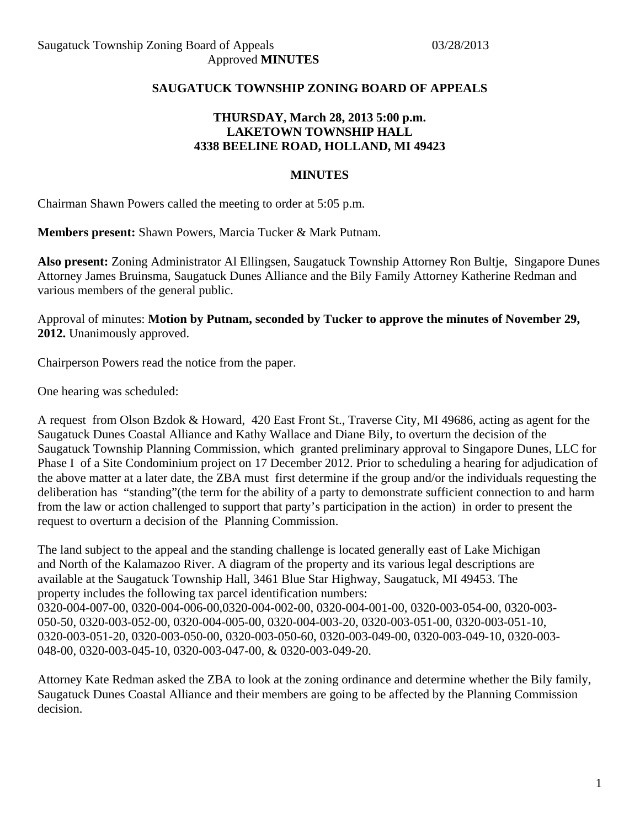## **SAUGATUCK TOWNSHIP ZONING BOARD OF APPEALS**

## **THURSDAY, March 28, 2013 5:00 p.m. LAKETOWN TOWNSHIP HALL 4338 BEELINE ROAD, HOLLAND, MI 49423**

#### **MINUTES**

Chairman Shawn Powers called the meeting to order at 5:05 p.m.

**Members present:** Shawn Powers, Marcia Tucker & Mark Putnam.

**Also present:** Zoning Administrator Al Ellingsen, Saugatuck Township Attorney Ron Bultje, Singapore Dunes Attorney James Bruinsma, Saugatuck Dunes Alliance and the Bily Family Attorney Katherine Redman and various members of the general public.

Approval of minutes: **Motion by Putnam, seconded by Tucker to approve the minutes of November 29, 2012.** Unanimously approved.

Chairperson Powers read the notice from the paper.

One hearing was scheduled:

A request from Olson Bzdok & Howard, 420 East Front St., Traverse City, MI 49686, acting as agent for the Saugatuck Dunes Coastal Alliance and Kathy Wallace and Diane Bily, to overturn the decision of the Saugatuck Township Planning Commission, which granted preliminary approval to Singapore Dunes, LLC for Phase I of a Site Condominium project on 17 December 2012. Prior to scheduling a hearing for adjudication of the above matter at a later date, the ZBA must first determine if the group and/or the individuals requesting the deliberation has "standing"(the term for the ability of a party to demonstrate sufficient connection to and harm from the law or action challenged to support that party's participation in the action) in order to present the request to overturn a decision of the Planning Commission.

The land subject to the appeal and the standing challenge is located generally east of Lake Michigan and North of the Kalamazoo River. A diagram of the property and its various legal descriptions are available at the Saugatuck Township Hall, 3461 Blue Star Highway, Saugatuck, MI 49453. The property includes the following tax parcel identification numbers: 0320-004-007-00, 0320-004-006-00,0320-004-002-00, 0320-004-001-00, 0320-003-054-00, 0320-003- 050-50, 0320-003-052-00, 0320-004-005-00, 0320-004-003-20, 0320-003-051-00, 0320-003-051-10, 0320-003-051-20, 0320-003-050-00, 0320-003-050-60, 0320-003-049-00, 0320-003-049-10, 0320-003- 048-00, 0320-003-045-10, 0320-003-047-00, & 0320-003-049-20.

Attorney Kate Redman asked the ZBA to look at the zoning ordinance and determine whether the Bily family, Saugatuck Dunes Coastal Alliance and their members are going to be affected by the Planning Commission decision.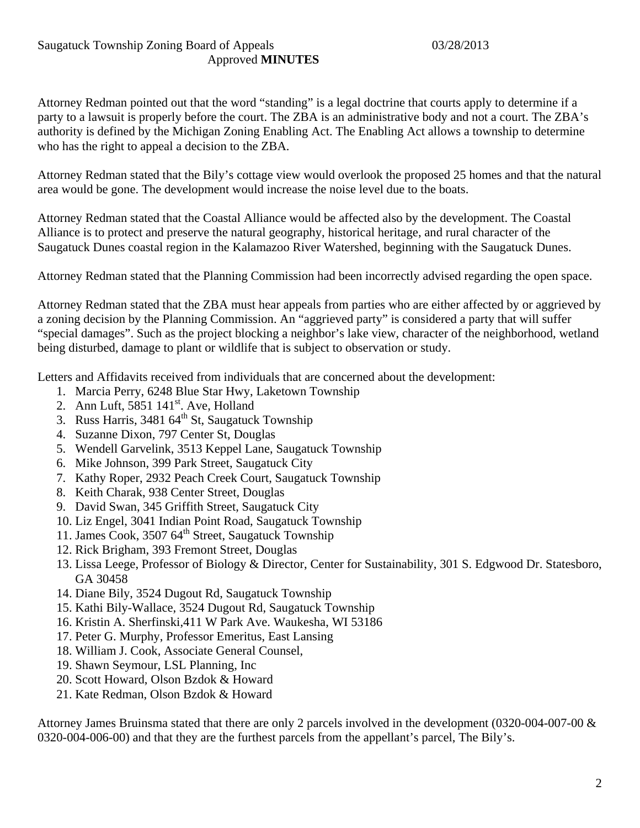Attorney Redman pointed out that the word "standing" is a legal doctrine that courts apply to determine if a party to a lawsuit is properly before the court. The ZBA is an administrative body and not a court. The ZBA's authority is defined by the Michigan Zoning Enabling Act. The Enabling Act allows a township to determine who has the right to appeal a decision to the ZBA.

Attorney Redman stated that the Bily's cottage view would overlook the proposed 25 homes and that the natural area would be gone. The development would increase the noise level due to the boats.

Attorney Redman stated that the Coastal Alliance would be affected also by the development. The Coastal Alliance is to protect and preserve the natural geography, historical heritage, and rural character of the Saugatuck Dunes coastal region in the Kalamazoo River Watershed, beginning with the Saugatuck Dunes.

Attorney Redman stated that the Planning Commission had been incorrectly advised regarding the open space.

Attorney Redman stated that the ZBA must hear appeals from parties who are either affected by or aggrieved by a zoning decision by the Planning Commission. An "aggrieved party" is considered a party that will suffer "special damages". Such as the project blocking a neighbor's lake view, character of the neighborhood, wetland being disturbed, damage to plant or wildlife that is subject to observation or study.

Letters and Affidavits received from individuals that are concerned about the development:

- 1. Marcia Perry, 6248 Blue Star Hwy, Laketown Township
- 2. Ann Luft, 5851 141<sup>st</sup>. Ave, Holland
- 3. Russ Harris,  $3481\,64^{\text{th}}$  St, Saugatuck Township
- 4. Suzanne Dixon, 797 Center St, Douglas
- 5. Wendell Garvelink, 3513 Keppel Lane, Saugatuck Township
- 6. Mike Johnson, 399 Park Street, Saugatuck City
- 7. Kathy Roper, 2932 Peach Creek Court, Saugatuck Township
- 8. Keith Charak, 938 Center Street, Douglas
- 9. David Swan, 345 Griffith Street, Saugatuck City
- 10. Liz Engel, 3041 Indian Point Road, Saugatuck Township
- 11. James Cook, 3507 64<sup>th</sup> Street, Saugatuck Township
- 12. Rick Brigham, 393 Fremont Street, Douglas
- 13. Lissa Leege, Professor of Biology & Director, Center for Sustainability, 301 S. Edgwood Dr. Statesboro, GA 30458
- 14. Diane Bily, 3524 Dugout Rd, Saugatuck Township
- 15. Kathi Bily-Wallace, 3524 Dugout Rd, Saugatuck Township
- 16. Kristin A. Sherfinski,411 W Park Ave. Waukesha, WI 53186
- 17. Peter G. Murphy, Professor Emeritus, East Lansing
- 18. William J. Cook, Associate General Counsel,
- 19. Shawn Seymour, LSL Planning, Inc
- 20. Scott Howard, Olson Bzdok & Howard
- 21. Kate Redman, Olson Bzdok & Howard

Attorney James Bruinsma stated that there are only 2 parcels involved in the development (0320-004-007-00 & 0320-004-006-00) and that they are the furthest parcels from the appellant's parcel, The Bily's.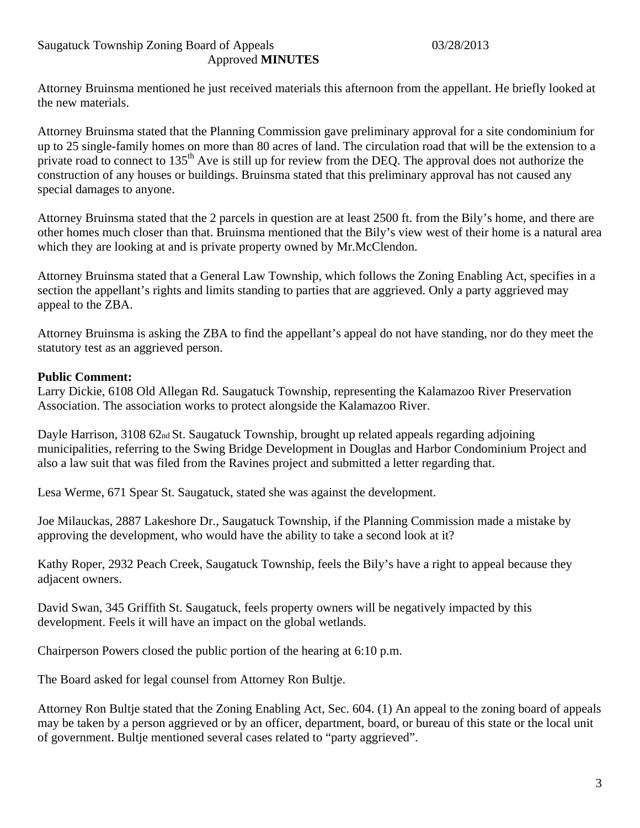Attorney Bruinsma mentioned he just received materials this afternoon from the appellant. He briefly looked at the new materials.

Attorney Bruinsma stated that the Planning Commission gave preliminary approval for a site condominium for up to 25 single-family homes on more than 80 acres of land. The circulation road that will be the extension to a private road to connect to 135<sup>th</sup> Ave is still up for review from the DEQ. The approval does not authorize the construction of any houses or buildings. Bruinsma stated that this preliminary approval has not caused any special damages to anyone.

Attorney Bruinsma stated that the 2 parcels in question are at least 2500 ft. from the Bily's home, and there are other homes much closer than that. Bruinsma mentioned that the Bily's view west of their home is a natural area which they are looking at and is private property owned by Mr.McClendon.

Attorney Bruinsma stated that a General Law Township, which follows the Zoning Enabling Act, specifies in a section the appellant's rights and limits standing to parties that are aggrieved. Only a party aggrieved may appeal to the ZBA.

Attorney Bruinsma is asking the ZBA to find the appellant's appeal do not have standing, nor do they meet the statutory test as an aggrieved person.

# **Public Comment:**

Larry Dickie, 6108 Old Allegan Rd. Saugatuck Township, representing the Kalamazoo River Preservation Association. The association works to protect alongside the Kalamazoo River.

Dayle Harrison, 3108 62nd St. Saugatuck Township, brought up related appeals regarding adjoining municipalities, referring to the Swing Bridge Development in Douglas and Harbor Condominium Project and also a law suit that was filed from the Ravines project and submitted a letter regarding that.

Lesa Werme, 671 Spear St. Saugatuck, stated she was against the development.

Joe Milauckas, 2887 Lakeshore Dr., Saugatuck Township, if the Planning Commission made a mistake by approving the development, who would have the ability to take a second look at it?

Kathy Roper, 2932 Peach Creek, Saugatuck Township, feels the Bily's have a right to appeal because they adjacent owners.

David Swan, 345 Griffith St. Saugatuck, feels property owners will be negatively impacted by this development. Feels it will have an impact on the global wetlands.

Chairperson Powers closed the public portion of the hearing at 6:10 p.m.

The Board asked for legal counsel from Attorney Ron Bultje.

Attorney Ron Bultje stated that the Zoning Enabling Act, Sec. 604. (1) An appeal to the zoning board of appeals may be taken by a person aggrieved or by an officer, department, board, or bureau of this state or the local unit of government. Bultje mentioned several cases related to "party aggrieved".